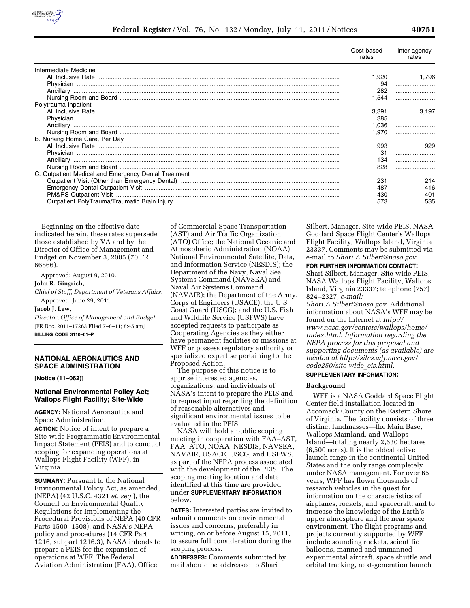

|                                                      | Cost-based<br>rates | Inter-agency<br>rates |
|------------------------------------------------------|---------------------|-----------------------|
| Intermediate Medicine                                |                     |                       |
|                                                      | 1,920               | 1.796                 |
|                                                      |                     |                       |
|                                                      | 282                 |                       |
|                                                      | 1.544               |                       |
| Polytrauma Inpatient                                 |                     |                       |
|                                                      | 3,391               | 3,197                 |
|                                                      | 385                 |                       |
|                                                      | 1,036               |                       |
|                                                      | 1.970               |                       |
| B. Nursing Home Care, Per Day                        |                     |                       |
|                                                      | 993                 | 929                   |
|                                                      | 31                  |                       |
|                                                      | 134                 |                       |
|                                                      | 828                 |                       |
| C. Outpatient Medical and Emergency Dental Treatment |                     |                       |
|                                                      | 231                 | 214                   |
|                                                      | 487                 | 416                   |
|                                                      | 430                 | 401                   |
|                                                      | 573                 | 535                   |
|                                                      |                     |                       |

Beginning on the effective date indicated herein, these rates supersede those established by VA and by the Director of Office of Management and Budget on November 3, 2005 (70 FR 66866).

Approved: August 9, 2010.

## **John R. Gingrich,**

*Chief of Staff, Department of Veterans Affairs.*  Approved: June 29, 2011.

## **Jacob J. Lew,**

*Director, Office of Management and Budget.*  [FR Doc. 2011–17263 Filed 7–8–11; 8:45 am] **BILLING CODE 3110–01–P** 

# **NATIONAL AERONAUTICS AND SPACE ADMINISTRATION**

**[Notice (11–062)]** 

# **National Environmental Policy Act; Wallops Flight Facility; Site-Wide**

**AGENCY:** National Aeronautics and Space Administration.

**ACTION:** Notice of intent to prepare a Site-wide Programmatic Environmental Impact Statement (PEIS) and to conduct scoping for expanding operations at Wallops Flight Facility (WFF), in Virginia.

**SUMMARY:** Pursuant to the National Environmental Policy Act, as amended, (NEPA) (42 U.S.C. 4321 *et. seq.*), the Council on Environmental Quality Regulations for Implementing the Procedural Provisions of NEPA (40 CFR Parts 1500–1508), and NASA's NEPA policy and procedures (14 CFR Part 1216, subpart 1216.3), NASA intends to prepare a PEIS for the expansion of operations at WFF. The Federal Aviation Administration (FAA), Office

of Commercial Space Transportation (AST) and Air Traffic Organization (ATO) Office; the National Oceanic and Atmospheric Administration (NOAA), National Environmental Satellite, Data, and Information Service (NESDIS); the Department of the Navy, Naval Sea Systems Command (NAVSEA) and Naval Air Systems Command (NAVAIR); the Department of the Army, Corps of Engineers (USACE); the U.S. Coast Guard (USCG); and the U.S. Fish and Wildlife Service (USFWS) have accepted requests to participate as Cooperating Agencies as they either have permanent facilities or missions at WFF or possess regulatory authority or specialized expertise pertaining to the Proposed Action.

The purpose of this notice is to apprise interested agencies, organizations, and individuals of NASA's intent to prepare the PEIS and to request input regarding the definition of reasonable alternatives and significant environmental issues to be evaluated in the PEIS.

NASA will hold a public scoping meeting in cooperation with FAA–AST, FAA–ATO, NOAA–NESDIS, NAVSEA, NAVAIR, USACE, USCG, and USFWS, as part of the NEPA process associated with the development of the PEIS. The scoping meeting location and date identified at this time are provided under **SUPPLEMENTARY INFORMATION** below.

**DATES:** Interested parties are invited to submit comments on environmental issues and concerns, preferably in writing, on or before August 15, 2011, to assure full consideration during the scoping process.

**ADDRESSES:** Comments submitted by mail should be addressed to Shari

Silbert, Manager, Site-wide PEIS, NASA Goddard Space Flight Center's Wallops Flight Facility, Wallops Island, Virginia 23337. Comments may be submitted via e-mail to *[Shari.A.Silbert@nasa.gov](mailto:Shari.A.Silbert@nasa.gov)*.

**FOR FURTHER INFORMATION CONTACT:** 

Shari Silbert, Manager, Site-wide PEIS, NASA Wallops Flight Facility, Wallops Island, Virginia 23337; telephone (757) 824–2327; *e-mail:* 

*[Shari.A.Silbert@nasa.gov](mailto:Shari.A.Silbert@nasa.gov)*. Additional information about NASA's WFF may be found on the Internet at *http:// [www.nasa.gov/centers/wallops/home/](http://www.nasa.gov/centers/wallops/home/index.html)  index.html*. *Information regarding the NEPA process for this proposal and supporting documents (as available) are [located at http://sites.wff.nasa.gov/](http://sites.wff.nasa.gov/code250/site-wide_eis.html)  code250/site-wide*\_*eis.html.* 

# **SUPPLEMENTARY INFORMATION:**

### **Background**

WFF is a NASA Goddard Space Flight Center field installation located in Accomack County on the Eastern Shore of Virginia. The facility consists of three distinct landmasses—the Main Base, Wallops Mainland, and Wallops Island—totaling nearly 2,630 hectares (6,500 acres). It is the oldest active launch range in the continental United States and the only range completely under NASA management. For over 65 years, WFF has flown thousands of research vehicles in the quest for information on the characteristics of airplanes, rockets, and spacecraft, and to increase the knowledge of the Earth's upper atmosphere and the near space environment. The flight programs and projects currently supported by WFF include sounding rockets, scientific balloons, manned and unmanned experimental aircraft, space shuttle and orbital tracking, next-generation launch